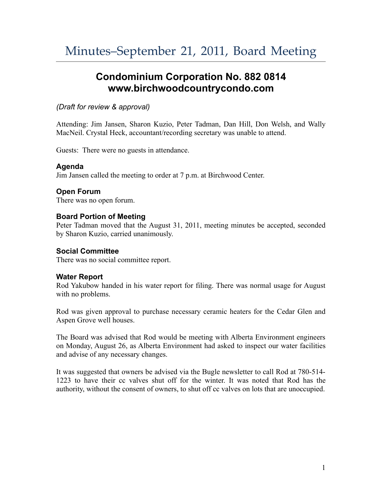# **Condominium Corporation No. 882 0814 www.birchwoodcountrycondo.com**

## *(Draft for review & approval)*

Attending: Jim Jansen, Sharon Kuzio, Peter Tadman, Dan Hill, Don Welsh, and Wally MacNeil. Crystal Heck, accountant/recording secretary was unable to attend.

Guests: There were no guests in attendance.

## **Agenda**

Jim Jansen called the meeting to order at 7 p.m. at Birchwood Center.

## **Open Forum**

There was no open forum.

## **Board Portion of Meeting**

Peter Tadman moved that the August 31, 2011, meeting minutes be accepted, seconded by Sharon Kuzio, carried unanimously.

## **Social Committee**

There was no social committee report.

## **Water Report**

Rod Yakubow handed in his water report for filing. There was normal usage for August with no problems.

Rod was given approval to purchase necessary ceramic heaters for the Cedar Glen and Aspen Grove well houses.

The Board was advised that Rod would be meeting with Alberta Environment engineers on Monday, August 26, as Alberta Environment had asked to inspect our water facilities and advise of any necessary changes.

It was suggested that owners be advised via the Bugle newsletter to call Rod at 780-514- 1223 to have their cc valves shut off for the winter. It was noted that Rod has the authority, without the consent of owners, to shut off cc valves on lots that are unoccupied.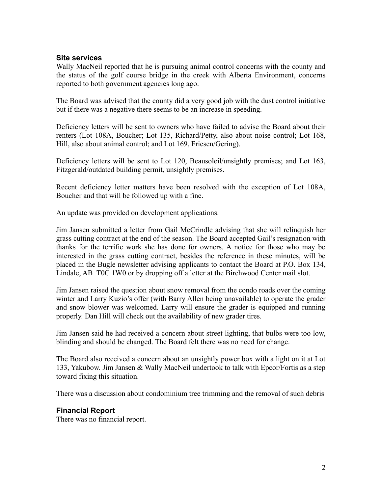#### **Site services**

Wally MacNeil reported that he is pursuing animal control concerns with the county and the status of the golf course bridge in the creek with Alberta Environment, concerns reported to both government agencies long ago.

The Board was advised that the county did a very good job with the dust control initiative but if there was a negative there seems to be an increase in speeding.

Deficiency letters will be sent to owners who have failed to advise the Board about their renters (Lot 108A, Boucher; Lot 135, Richard/Petty, also about noise control; Lot 168, Hill, also about animal control; and Lot 169, Friesen/Gering).

Deficiency letters will be sent to Lot 120, Beausoleil/unsightly premises; and Lot 163, Fitzgerald/outdated building permit, unsightly premises.

Recent deficiency letter matters have been resolved with the exception of Lot 108A, Boucher and that will be followed up with a fine.

An update was provided on development applications.

Jim Jansen submitted a letter from Gail McCrindle advising that she will relinquish her grass cutting contract at the end of the season. The Board accepted Gail's resignation with thanks for the terrific work she has done for owners. A notice for those who may be interested in the grass cutting contract, besides the reference in these minutes, will be placed in the Bugle newsletter advising applicants to contact the Board at P.O. Box 134, Lindale, AB T0C 1W0 or by dropping off a letter at the Birchwood Center mail slot.

Jim Jansen raised the question about snow removal from the condo roads over the coming winter and Larry Kuzio's offer (with Barry Allen being unavailable) to operate the grader and snow blower was welcomed. Larry will ensure the grader is equipped and running properly. Dan Hill will check out the availability of new grader tires.

Jim Jansen said he had received a concern about street lighting, that bulbs were too low, blinding and should be changed. The Board felt there was no need for change.

The Board also received a concern about an unsightly power box with a light on it at Lot 133, Yakubow. Jim Jansen & Wally MacNeil undertook to talk with Epcor/Fortis as a step toward fixing this situation.

There was a discussion about condominium tree trimming and the removal of such debris

## **Financial Report**

There was no financial report.